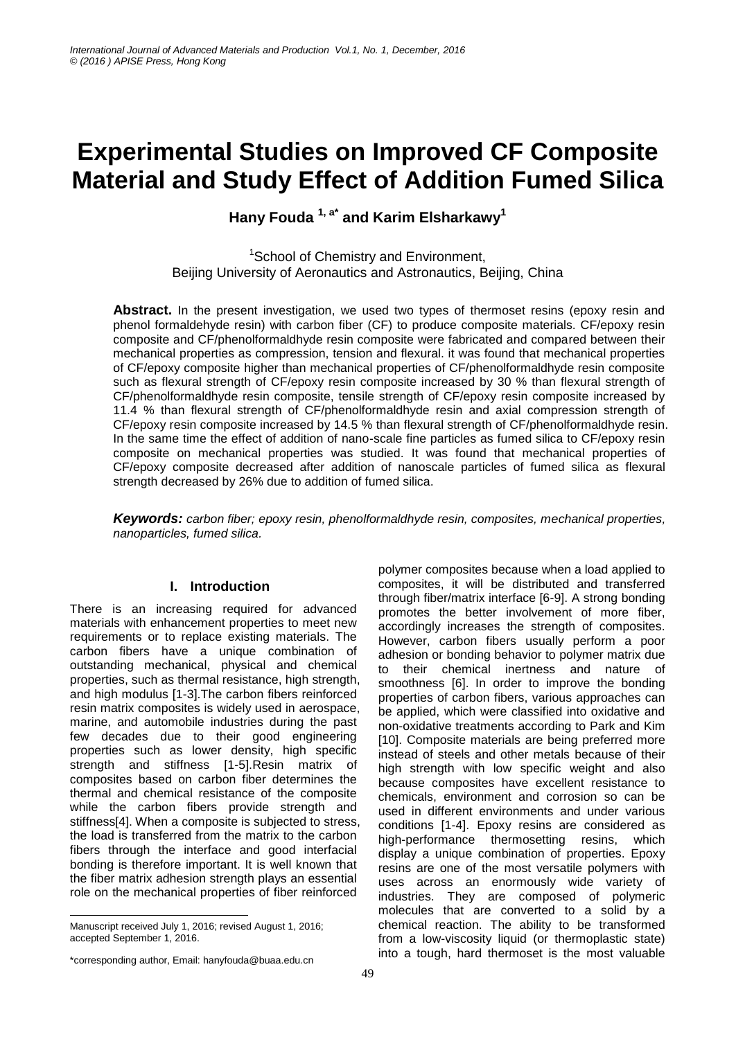# **Experimental Studies on Improved CF Composite Material and Study Effect of Addition Fumed Silica**

**Hany Fouda 1, a\* and Karim Elsharkawy<sup>1</sup>**

<sup>1</sup>School of Chemistry and Environment, Beijing University of Aeronautics and Astronautics, Beijing, China

**Abstract.** In the present investigation, we used two types of thermoset resins (epoxy resin and phenol formaldehyde resin) with carbon fiber (CF) to produce composite materials. CF/epoxy resin composite and CF/phenolformaldhyde resin composite were fabricated and compared between their mechanical properties as compression, tension and flexural. it was found that mechanical properties of CF/epoxy composite higher than mechanical properties of CF/phenolformaldhyde resin composite such as flexural strength of CF/epoxy resin composite increased by 30 % than flexural strength of CF/phenolformaldhyde resin composite, tensile strength of CF/epoxy resin composite increased by 11.4 % than flexural strength of CF/phenolformaldhyde resin and axial compression strength of CF/epoxy resin composite increased by 14.5 % than flexural strength of CF/phenolformaldhyde resin. In the same time the effect of addition of nano-scale fine particles as fumed silica to CF/epoxy resin composite on mechanical properties was studied. It was found that mechanical properties of CF/epoxy composite decreased after addition of nanoscale particles of fumed silica as flexural strength decreased by 26% due to addition of fumed silica.

*Keywords: carbon fiber; epoxy resin, phenolformaldhyde resin, composites, mechanical properties, nanoparticles, fumed silica.* 

# **I. Introduction**

There is an increasing required for advanced materials with enhancement properties to meet new requirements or to replace existing materials. The carbon fibers have a unique combination of outstanding mechanical, physical and chemical properties, such as thermal resistance, high strength, and high modulus [1-3].The carbon fibers reinforced resin matrix composites is widely used in aerospace, marine, and automobile industries during the past few decades due to their good engineering properties such as lower density, high specific strength and stiffness [1-5].Resin matrix of composites based on carbon fiber determines the thermal and chemical resistance of the composite while the carbon fibers provide strength and stiffness[4]. When a composite is subjected to stress, the load is transferred from the matrix to the carbon fibers through the interface and good interfacial bonding is therefore important. It is well known that the fiber matrix adhesion strength plays an essential role on the mechanical properties of fiber reinforced

polymer composites because when a load applied to composites, it will be distributed and transferred through fiber/matrix interface [6-9]. A strong bonding promotes the better involvement of more fiber, accordingly increases the strength of composites. However, carbon fibers usually perform a poor adhesion or bonding behavior to polymer matrix due to their chemical inertness and nature of smoothness [6]. In order to improve the bonding properties of carbon fibers, various approaches can be applied, which were classified into oxidative and non-oxidative treatments according to Park and Kim [10]. Composite materials are being preferred more instead of steels and other metals because of their high strength with low specific weight and also because composites have excellent resistance to chemicals, environment and corrosion so can be used in different environments and under various conditions [1-4]. Epoxy resins are considered as high-performance thermosetting resins, which display a unique combination of properties. Epoxy resins are one of the most versatile polymers with uses across an enormously wide variety of industries. They are composed of polymeric molecules that are converted to a solid by a chemical reaction. The ability to be transformed from a low-viscosity liquid (or thermoplastic state) into a tough, hard thermoset is the most valuable

<sup>-</sup>Manuscript received July 1, 2016; revised August 1, 2016; accepted September 1, 2016.

<sup>\*</sup>corresponding author, Email: hanyfouda@buaa.edu.cn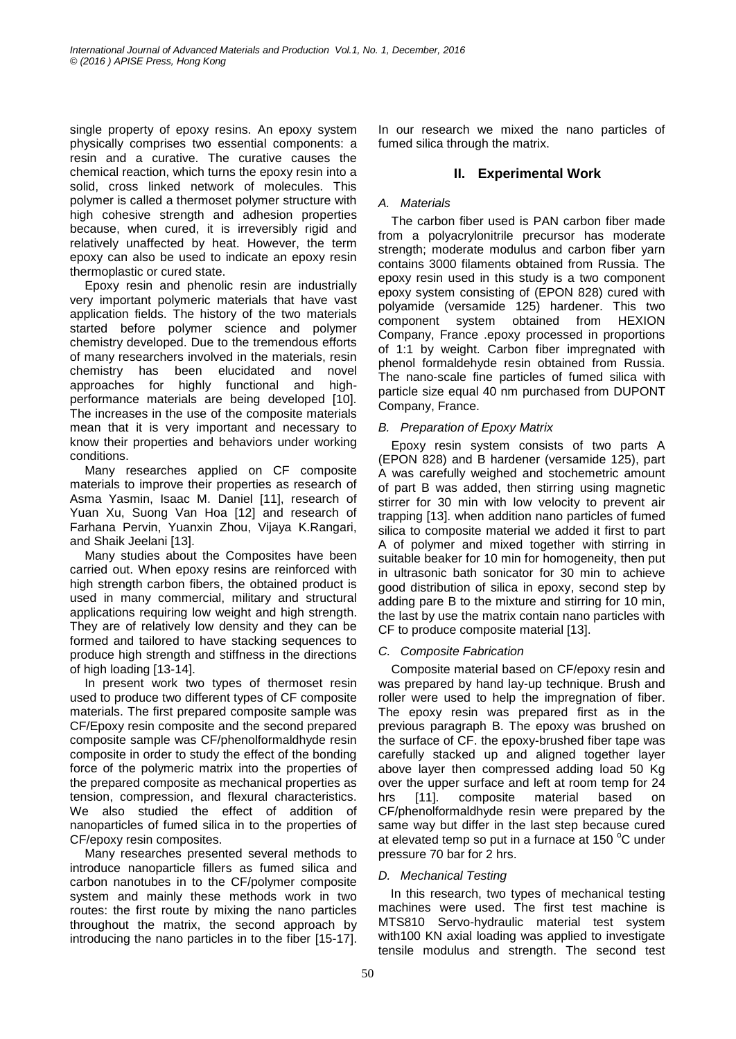single property of epoxy resins. An epoxy system physically comprises two essential components: a resin and a curative. The curative causes the chemical reaction, which turns the epoxy resin into a solid, cross linked network of molecules. This polymer is called a thermoset polymer structure with high cohesive strength and adhesion properties because, when cured, it is irreversibly rigid and relatively unaffected by heat. However, the term epoxy can also be used to indicate an epoxy resin thermoplastic or cured state.

Epoxy resin and phenolic resin are industrially very important polymeric materials that have vast application fields. The history of the two materials started before polymer science and polymer chemistry developed. Due to the tremendous efforts of many researchers involved in the materials, resin chemistry has been elucidated and novel approaches for highly functional and highperformance materials are being developed [10]. The increases in the use of the composite materials mean that it is very important and necessary to know their properties and behaviors under working conditions.

Many researches applied on CF composite materials to improve their properties as research of Asma Yasmin, Isaac M. Daniel [11], research of Yuan Xu, Suong Van Hoa [12] and research of Farhana Pervin, Yuanxin Zhou, Vijaya K.Rangari, and Shaik Jeelani [13].

Many studies about the Composites have been carried out. When epoxy resins are reinforced with high strength carbon fibers, the obtained product is used in many commercial, military and structural applications requiring low weight and high strength. They are of relatively low density and they can be formed and tailored to have stacking sequences to produce high strength and stiffness in the directions of high loading [13-14].

In present work two types of thermoset resin used to produce two different types of CF composite materials. The first prepared composite sample was CF/Epoxy resin composite and the second prepared composite sample was CF/phenolformaldhyde resin composite in order to study the effect of the bonding force of the polymeric matrix into the properties of the prepared composite as mechanical properties as tension, compression, and flexural characteristics. We also studied the effect of addition of nanoparticles of fumed silica in to the properties of CF/epoxy resin composites.

Many researches presented several methods to introduce nanoparticle fillers as fumed silica and carbon nanotubes in to the CF/polymer composite system and mainly these methods work in two routes: the first route by mixing the nano particles throughout the matrix, the second approach by introducing the nano particles in to the fiber [15-17].

In our research we mixed the nano particles of fumed silica through the matrix.

# **II. Experimental Work**

## *A. Materials*

The carbon fiber used is PAN carbon fiber made from a polyacrylonitrile precursor has moderate strength; moderate modulus and carbon fiber yarn contains 3000 filaments obtained from Russia. The epoxy resin used in this study is a two component epoxy system consisting of (EPON 828) cured with polyamide (versamide 125) hardener. This two component system obtained from HEXION Company, France .epoxy processed in proportions of 1:1 by weight. Carbon fiber impregnated with phenol formaldehyde resin obtained from Russia. The nano-scale fine particles of fumed silica with particle size equal 40 nm purchased from DUPONT Company, France.

# *B. Preparation of Epoxy Matrix*

Epoxy resin system consists of two parts A (EPON 828) and B hardener (versamide 125), part A was carefully weighed and stochemetric amount of part B was added, then stirring using magnetic stirrer for 30 min with low velocity to prevent air trapping [13]. when addition nano particles of fumed silica to composite material we added it first to part A of polymer and mixed together with stirring in suitable beaker for 10 min for homogeneity, then put in ultrasonic bath sonicator for 30 min to achieve good distribution of silica in epoxy, second step by adding pare B to the mixture and stirring for 10 min, the last by use the matrix contain nano particles with CF to produce composite material [13].

# *C. Composite Fabrication*

Composite material based on CF/epoxy resin and was prepared by hand lay-up technique. Brush and roller were used to help the impregnation of fiber. The epoxy resin was prepared first as in the previous paragraph B. The epoxy was brushed on the surface of CF. the epoxy-brushed fiber tape was carefully stacked up and aligned together layer above layer then compressed adding load 50 Kg over the upper surface and left at room temp for 24 hrs [11]. composite material based on CF/phenolformaldhyde resin were prepared by the same way but differ in the last step because cured at elevated temp so put in a furnace at 150  $\degree$ C under pressure 70 bar for 2 hrs.

# *D. Mechanical Testing*

 In this research, two types of mechanical testing machines were used. The first test machine is MTS810 Servo-hydraulic material test system with100 KN axial loading was applied to investigate tensile modulus and strength. The second test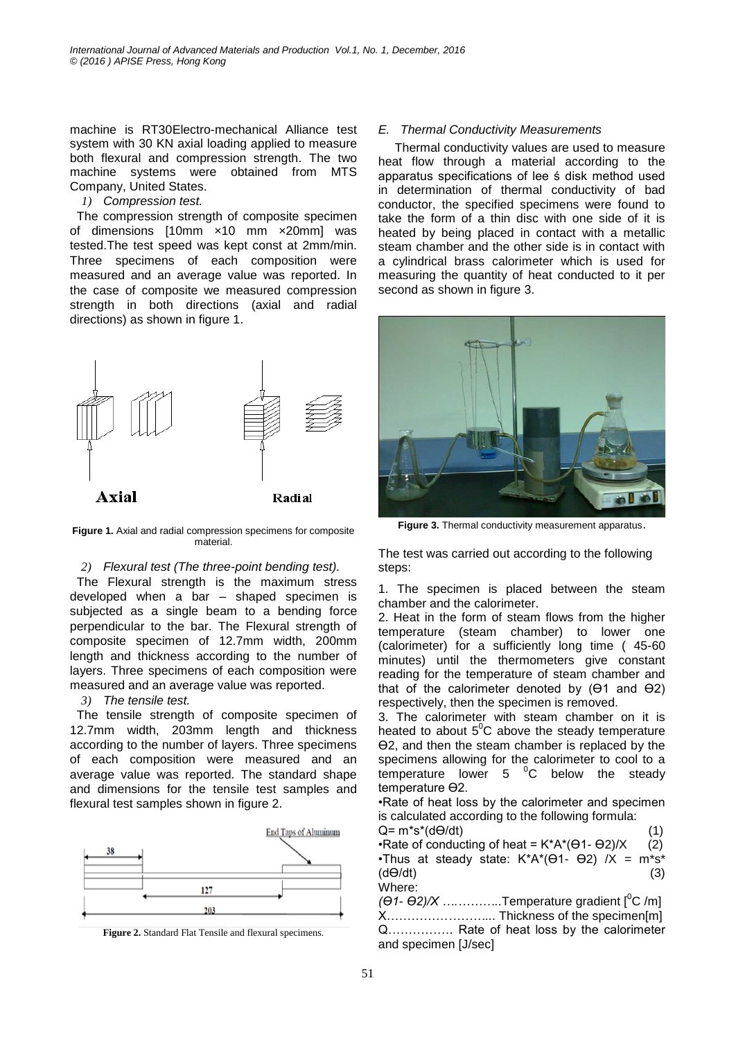machine is RT30Electro-mechanical Alliance test system with 30 KN axial loading applied to measure both flexural and compression strength. The two machine systems were obtained from MTS Company, United States.

## *1) Compression test.*

 The compression strength of composite specimen of dimensions [10mm ×10 mm ×20mm] was tested.The test speed was kept const at 2mm/min. Three specimens of each composition were measured and an average value was reported. In the case of composite we measured compression strength in both directions (axial and radial directions) as shown in figure 1.



**Figure 1.** Axial and radial compression specimens for composite material.

## *2) Flexural test (The three-point bending test).*

 The Flexural strength is the maximum stress developed when a bar – shaped specimen is subjected as a single beam to a bending force perpendicular to the bar. The Flexural strength of composite specimen of 12.7mm width, 200mm length and thickness according to the number of layers. Three specimens of each composition were measured and an average value was reported.

## *3) The tensile test.*

 The tensile strength of composite specimen of 12.7mm width, 203mm length and thickness according to the number of layers. Three specimens of each composition were measured and an average value was reported. The standard shape and dimensions for the tensile test samples and flexural test samples shown in figure 2.





# *E. Thermal Conductivity Measurements*

Thermal conductivity values are used to measure heat flow through a material according to the apparatus specifications of lee ś disk method used in determination of thermal conductivity of bad conductor, the specified specimens were found to take the form of a thin disc with one side of it is heated by being placed in contact with a metallic steam chamber and the other side is in contact with a cylindrical brass calorimeter which is used for measuring the quantity of heat conducted to it per second as shown in figure 3.



**Figure 3.** Thermal conductivity measurement apparatus.

The test was carried out according to the following steps:

1. The specimen is placed between the steam chamber and the calorimeter.

2. Heat in the form of steam flows from the higher temperature (steam chamber) to lower one (calorimeter) for a sufficiently long time ( 45-60 minutes) until the thermometers give constant reading for the temperature of steam chamber and that of the calorimeter denoted by (Ө1 and Ө2) respectively, then the specimen is removed.

3. The calorimeter with steam chamber on it is heated to about  $5^{\circ}$ C above the steady temperature Ө2, and then the steam chamber is replaced by the specimens allowing for the calorimeter to cool to a temperature lower  $5 \degree C$  below the steady temperature Ө2.

•Rate of heat loss by the calorimeter and specimen is calculated according to the following formula:

Q= m\*s\*(dӨ/dt)(1) •Rate of conducting of heat =  $K^*A^*(\Theta 1 - \Theta 2)/X$  (2) •Thus at steady state:  $K^*A^*(\Theta 1 - \Theta 2)$  /X = m\*s\* (dӨ/dt)(3) Where:

*(Θ1- Θ2)/X ............*...Temperature gradient [<sup>0</sup>C /m] X……………*………..*. Thickness of the specimen[m] Q……………. Rate of heat loss by the calorimeter and specimen [J/sec]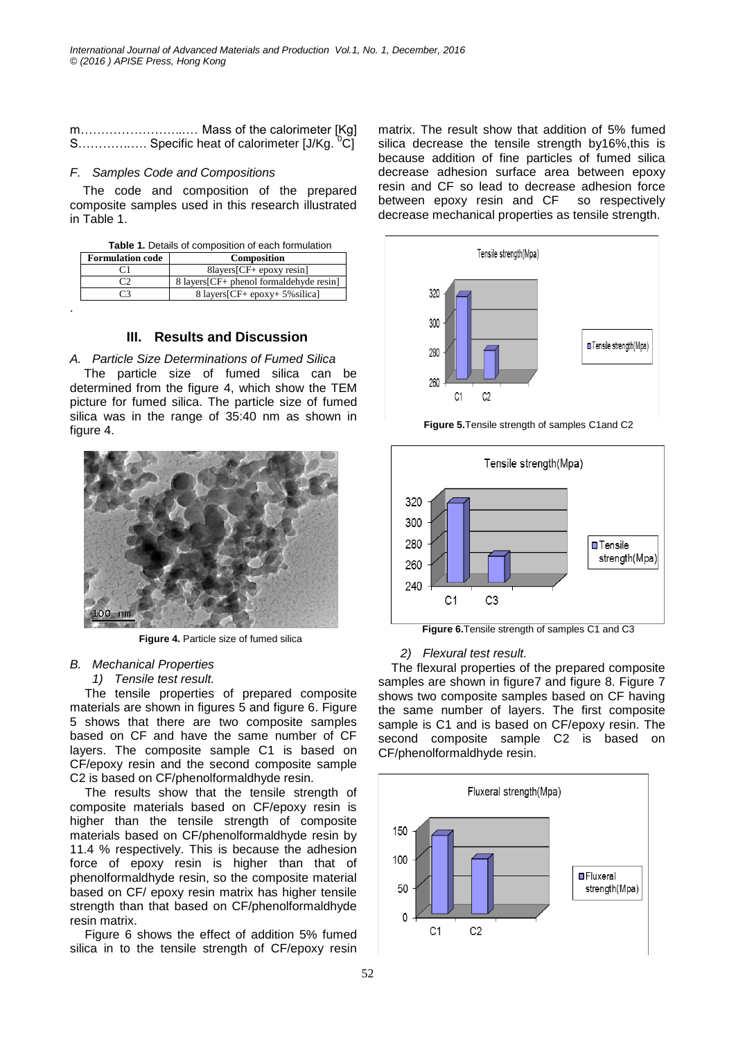| m Mass of the calorimeter [Kg]                        |  |
|-------------------------------------------------------|--|
| S Specific heat of calorimeter [J/Kg. <sup>0</sup> C] |  |

## *F. Samples Code and Compositions*

.

The code and composition of the prepared composite samples used in this research illustrated in Table 1.

|  |  |  | <b>Table 1.</b> Details of composition of each formulation |
|--|--|--|------------------------------------------------------------|
|  |  |  |                                                            |

| <b>Formulation code</b> | <b>Composition</b>                       |
|-------------------------|------------------------------------------|
|                         | $8$ layers $[CF+$ epoxy resin]           |
|                         | 8 layers [CF+ phenol formaldehyde resin] |
| -3                      | 8 layers [CF+ epoxy+ 5% silica]          |

# **III. Results and Discussion**

#### *A. Particle Size Determinations of Fumed Silica*

The particle size of fumed silica can be determined from the figure 4, which show the TEM picture for fumed silica. The particle size of fumed silica was in the range of 35:40 nm as shown in figure 4.



**Figure 4.** Particle size of fumed silica

#### *B. Mechanical Properties*

#### *1) Tensile test result.*

The tensile properties of prepared composite materials are shown in figures 5 and figure 6. Figure 5 shows that there are two composite samples based on CF and have the same number of CF layers. The composite sample C1 is based on CF/epoxy resin and the second composite sample C2 is based on CF/phenolformaldhyde resin.

The results show that the tensile strength of composite materials based on CF/epoxy resin is higher than the tensile strength of composite materials based on CF/phenolformaldhyde resin by 11.4 % respectively. This is because the adhesion force of epoxy resin is higher than that of phenolformaldhyde resin, so the composite material based on CF/ epoxy resin matrix has higher tensile strength than that based on CF/phenolformaldhyde resin matrix.

Figure 6 shows the effect of addition 5% fumed silica in to the tensile strength of CF/epoxy resin

matrix. The result show that addition of 5% fumed silica decrease the tensile strength by16%,this is because addition of fine particles of fumed silica decrease adhesion surface area between epoxy resin and CF so lead to decrease adhesion force between epoxy resin and CF so respectively decrease mechanical properties as tensile strength.



**Figure 5.**Tensile strength of samples C1and C2



**Figure 6.**Tensile strength of samples C1 and C3

#### *2) Flexural test result.*

The flexural properties of the prepared composite samples are shown in figure7 and figure 8. Figure 7 shows two composite samples based on CF having the same number of layers. The first composite sample is C1 and is based on CF/epoxy resin. The second composite sample C2 is based on CF/phenolformaldhyde resin.

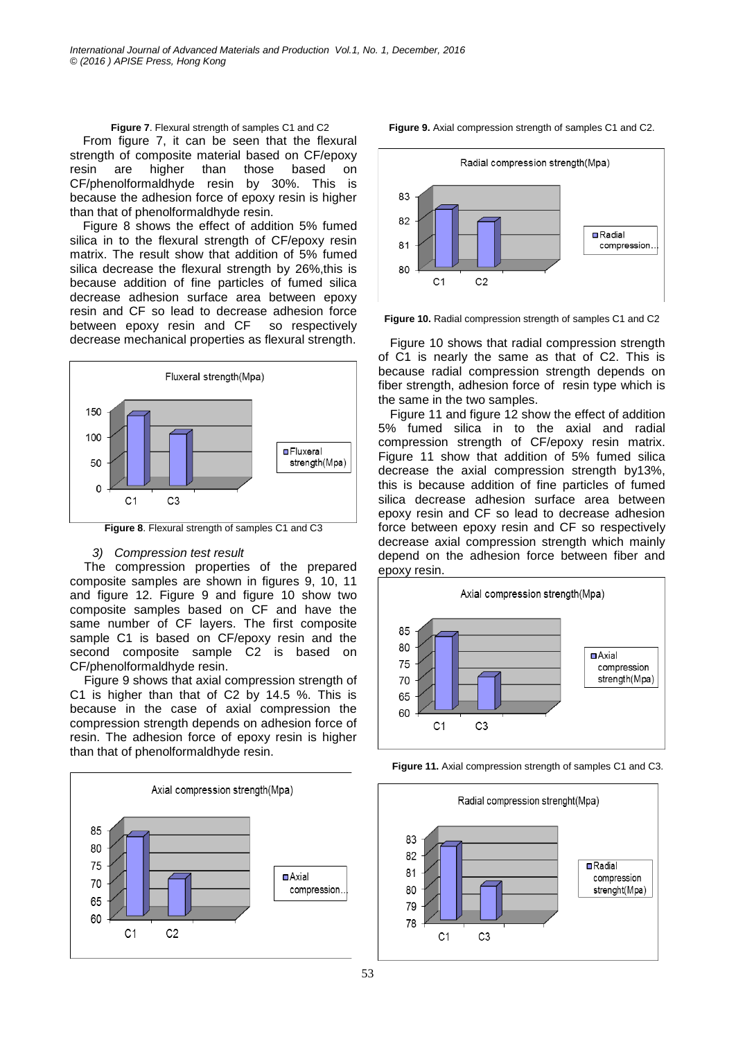#### **Figure 7**. Flexural strength of samples C1 and C2

From figure 7, it can be seen that the flexural strength of composite material based on CF/epoxy resin are higher than those based on CF/phenolformaldhyde resin by 30%. This is because the adhesion force of epoxy resin is higher than that of phenolformaldhyde resin.

Figure 8 shows the effect of addition 5% fumed silica in to the flexural strength of CF/epoxy resin matrix. The result show that addition of 5% fumed silica decrease the flexural strength by 26%,this is because addition of fine particles of fumed silica decrease adhesion surface area between epoxy resin and CF so lead to decrease adhesion force between epoxy resin and CF so respectively decrease mechanical properties as flexural strength.



**Figure 8**. Flexural strength of samples C1 and C3

#### *3) Compression test result*

The compression properties of the prepared composite samples are shown in figures 9, 10, 11 and figure 12. Figure 9 and figure 10 show two composite samples based on CF and have the same number of CF layers. The first composite sample C1 is based on CF/epoxy resin and the second composite sample C2 is based on CF/phenolformaldhyde resin.

Figure 9 shows that axial compression strength of C1 is higher than that of C2 by 14.5 %. This is because in the case of axial compression the compression strength depends on adhesion force of resin. The adhesion force of epoxy resin is higher than that of phenolformaldhyde resin.



**Figure 9.** Axial compression strength of samples C1 and C2.



**Figure 10.** Radial compression strength of samples C1 and C2

Figure 10 shows that radial compression strength of C1 is nearly the same as that of C2. This is because radial compression strength depends on fiber strength, adhesion force of resin type which is the same in the two samples.

Figure 11 and figure 12 show the effect of addition 5% fumed silica in to the axial and radial compression strength of CF/epoxy resin matrix. Figure 11 show that addition of 5% fumed silica decrease the axial compression strength by13%, this is because addition of fine particles of fumed silica decrease adhesion surface area between epoxy resin and CF so lead to decrease adhesion force between epoxy resin and CF so respectively decrease axial compression strength which mainly depend on the adhesion force between fiber and epoxy resin.



**Figure 11.** Axial compression strength of samples C1 and C3.

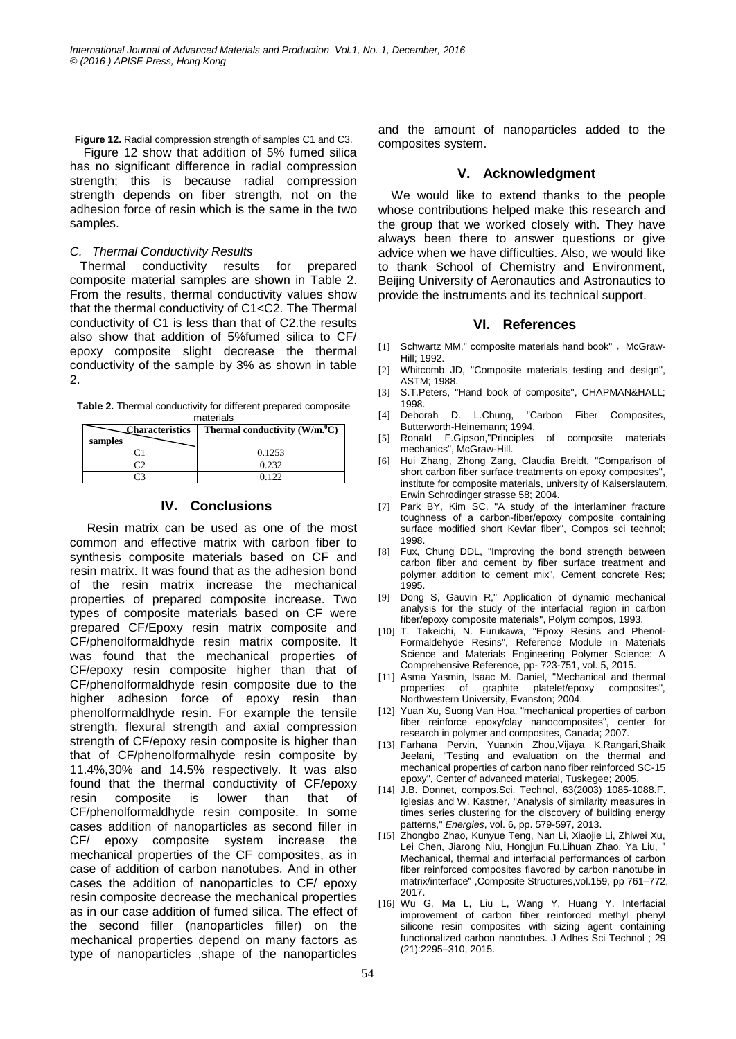**Figure 12.** Radial compression strength of samples C1 and C3.

 Figure 12 show that addition of 5% fumed silica has no significant difference in radial compression strength; this is because radial compression strength depends on fiber strength, not on the adhesion force of resin which is the same in the two samples.

#### *C. Thermal Conductivity Results*

Thermal conductivity results for prepared composite material samples are shown in Table 2. From the results, thermal conductivity values show that the thermal conductivity of C1<C2. The Thermal conductivity of C1 is less than that of C2.the results also show that addition of 5%fumed silica to CF/ epoxy composite slight decrease the thermal conductivity of the sample by 3% as shown in table 2.

**Table 2.** Thermal conductivity for different prepared composite materials

| <b>Characteristics</b><br>samples | Thermal conductivity $(W/m^0C)$ |
|-----------------------------------|---------------------------------|
|                                   | 0.1253                          |
|                                   | 0.232                           |
|                                   | ገ 1 ገ ገ                         |

## **IV. Conclusions**

 Resin matrix can be used as one of the most common and effective matrix with carbon fiber to synthesis composite materials based on CF and resin matrix. It was found that as the adhesion bond of the resin matrix increase the mechanical properties of prepared composite increase. Two types of composite materials based on CF were prepared CF/Epoxy resin matrix composite and CF/phenolformaldhyde resin matrix composite. It was found that the mechanical properties of CF/epoxy resin composite higher than that of CF/phenolformaldhyde resin composite due to the higher adhesion force of epoxy resin than phenolformaldhyde resin. For example the tensile strength, flexural strength and axial compression strength of CF/epoxy resin composite is higher than that of CF/phenolformalhyde resin composite by 11.4%,30% and 14.5% respectively. It was also found that the thermal conductivity of CF/epoxy resin composite is lower than that of CF/phenolformaldhyde resin composite. In some cases addition of nanoparticles as second filler in CF/ epoxy composite system increase the mechanical properties of the CF composites, as in case of addition of carbon nanotubes. And in other cases the addition of nanoparticles to CF/ epoxy resin composite decrease the mechanical properties as in our case addition of fumed silica. The effect of the second filler (nanoparticles filler) on the mechanical properties depend on many factors as type of nanoparticles ,shape of the nanoparticles

and the amount of nanoparticles added to the composites system.

## **V. Acknowledgment**

We would like to extend thanks to the people whose contributions helped make this research and the group that we worked closely with. They have always been there to answer questions or give advice when we have difficulties. Also, we would like to thank School of Chemistry and Environment, Beijing University of Aeronautics and Astronautics to provide the instruments and its technical support.

## **VI. References**

- [1] Schwartz MM," composite materials hand book", McGraw-Hill; 1992.
- [2] Whitcomb JD, "Composite materials testing and design", ASTM; 1988.
- [3] S.T.Peters, "Hand book of composite", CHAPMAN&HALL; 1998.
- [4] Deborah D. L.Chung, "Carbon Fiber Composites, Butterworth-Heinemann; 1994.
- [5] Ronald F.Gipson,"Principles of composite materials mechanics", McGraw-Hill.
- [6] Hui Zhang, Zhong Zang, Claudia Breidt, "Comparison of short carbon fiber surface treatments on epoxy composites", institute for composite materials, university of Kaiserslautern, Erwin Schrodinger strasse 58; 2004.
- [7] Park BY, Kim SC, "A study of the interlaminer fracture toughness of a carbon-fiber/epoxy composite containing surface modified short Kevlar fiber", Compos sci technol; 1998.
- [8] Fux, Chung DDL, "Improving the bond strength between carbon fiber and cement by fiber surface treatment and polymer addition to cement mix", Cement concrete Res; 1995.
- [9] Dong S, Gauvin R," Application of dynamic mechanical analysis for the study of the interfacial region in carbon fiber/epoxy composite materials", Polym compos, 1993.
- [10] T. Takeichi, N. Furukawa, "Epoxy Resins and Phenol-Formaldehyde Resins", Reference Module in Materials Science and Materials Engineering Polymer Science: A Comprehensive Reference, pp- 723-751, vol. 5, 2015.
- [11] Asma Yasmin, Isaac M. Daniel, "Mechanical and thermal of graphite platelet/epoxy composites", Northwestern University, Evanston; 2004.
- [12] Yuan Xu, Suong Van Hoa, "mechanical properties of carbon fiber reinforce epoxy/clay nanocomposites", center for research in polymer and composites, Canada; 2007.
- [13] Farhana Pervin, Yuanxin Zhou,Vijaya K.Rangari,Shaik Jeelani, "Testing and evaluation on the thermal and mechanical properties of carbon nano fiber reinforced SC-15 epoxy", Center of advanced material, Tuskegee; 2005.
- [14] J.B. Donnet, compos.Sci. Technol, 63(2003) 1085-1088.F. Iglesias and W. Kastner, "Analysis of similarity measures in times series clustering for the discovery of building energy patterns," *Energies*, vol. 6, pp. 579-597, 2013.
- [15] Zhongbo Zhao, Kunyue Teng, Nan Li, Xiaojie Li, Zhiwei Xu, Lei Chen, Jiarong Niu, Hongjun Fu,Lihuan Zhao, Ya Liu, " Mechanical, thermal and interfacial performances of carbon fiber reinforced composites flavored by carbon nanotube in matrix/interface" ,Composite Structures,vol.159, pp 761–772, 2017.
- [16] Wu G, Ma L, Liu L, Wang Y, Huang Y. Interfacial improvement of carbon fiber reinforced methyl phenyl silicone resin composites with sizing agent containing functionalized carbon nanotubes. J Adhes Sci Technol ; 29 (21):2295–310, 2015.